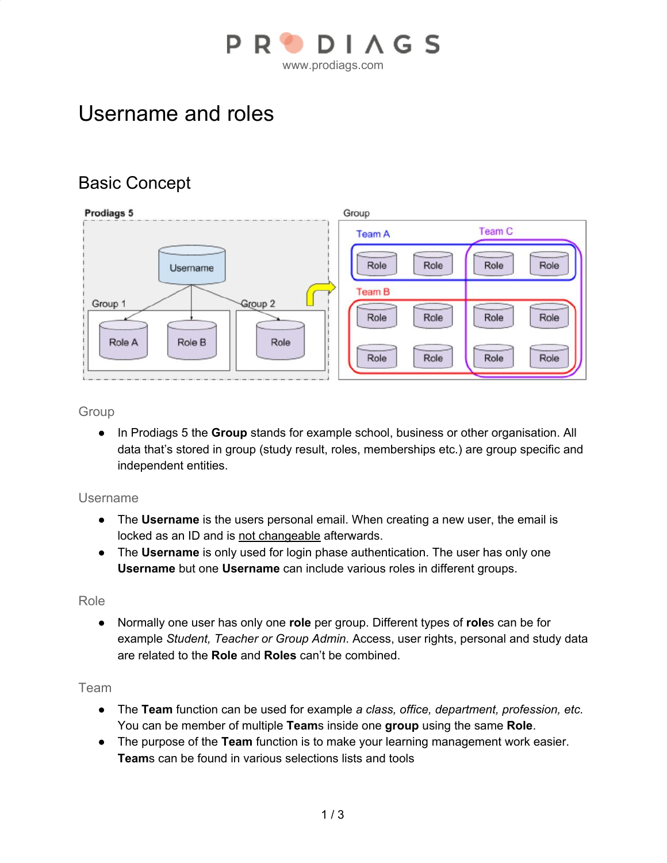

# Username and roles

# Basic Concept



### **Group**

● In Prodiags 5 the **Group** stands for example school, business or other organisation. All data that's stored in group (study result, roles, memberships etc.) are group specific and independent entities.

### Username

- The **Username** is the users personal email. When creating a new user, the email is locked as an ID and is not changeable afterwards.
- The **Username** is only used for login phase authentication. The user has only one **Username** but one **Username** can include various roles in different groups.

#### Role

● Normally one user has only one **role** per group. Different types of **role**s can be for example *Student, Teacher or Group Admin*. Access, user rights, personal and study data are related to the **Role** and **Roles** can't be combined.

### Team

- The **Team** function can be used for example *a class, office, department, profession, etc.* You can be member of multiple **Team**s inside one **group** using the same **Role**.
- The purpose of the **Team** function is to make your learning management work easier. **Team**s can be found in various selections lists and tools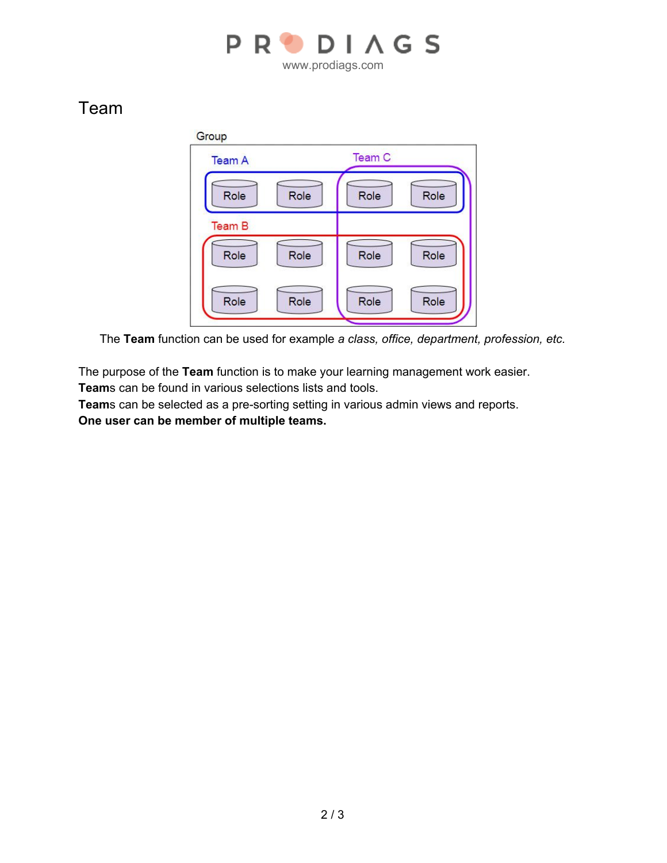

## Team



The **Team** function can be used for example *a class, office, department, profession, etc.*

The purpose of the **Team** function is to make your learning management work easier. **Team**s can be found in various selections lists and tools.

**Team**s can be selected as a pre-sorting setting in various admin views and reports. **One user can be member of multiple teams.**